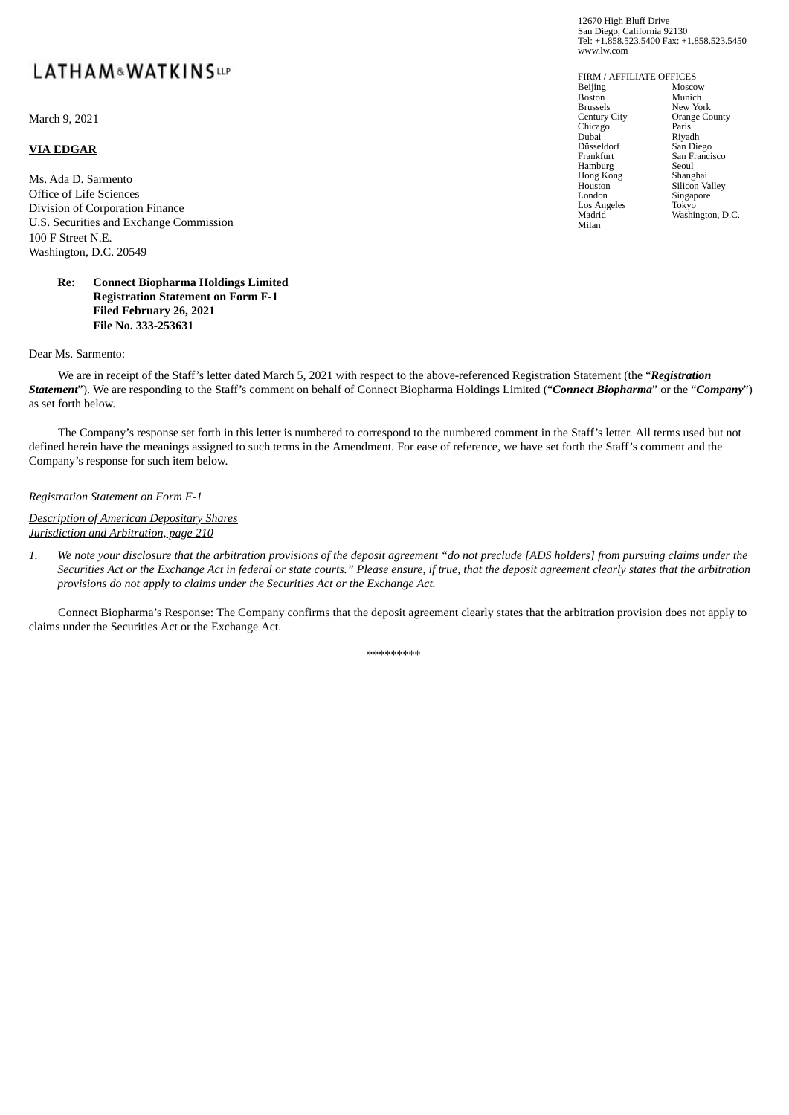# LATHAM&WATKINSup

March 9, 2021

### **VIA EDGAR**

Ms. Ada D. Sarmento Office of Life Sciences Division of Corporation Finance U.S. Securities and Exchange Commission 100 F Street N.E. Washington, D.C. 20549

#### **Re: Connect Biopharma Holdings Limited Registration Statement on Form F-1 Filed February 26, 2021 File No. 333-253631**

Dear Ms. Sarmento:

We are in receipt of the Staff's letter dated March 5, 2021 with respect to the above-referenced Registration Statement (the "*Registration Statement*"). We are responding to the Staff's comment on behalf of Connect Biopharma Holdings Limited ("*Connect Biopharma*" or the "*Company*") as set forth below.

The Company's response set forth in this letter is numbered to correspond to the numbered comment in the Staff's letter. All terms used but not defined herein have the meanings assigned to such terms in the Amendment. For ease of reference, we have set forth the Staff's comment and the Company's response for such item below.

#### *Registration Statement on Form F-1*

*Description of American Depositary Shares Jurisdiction and Arbitration, page 210*

1. We note your disclosure that the arbitration provisions of the deposit agreement "do not preclude [ADS holders] from pursuing claims under the Securities Act or the Exchange Act in federal or state courts." Please ensure, if true, that the deposit agreement clearly states that the arbitration *provisions do not apply to claims under the Securities Act or the Exchange Act.*

Connect Biopharma's Response: The Company confirms that the deposit agreement clearly states that the arbitration provision does not apply to claims under the Securities Act or the Exchange Act.

\*\*\*\*\*\*\*\*\*

12670 High Bluff Drive San Diego, California 92130 Tel: +1.858.523.5400 Fax: +1.858.523.5450 www.lw.com

FIRM / AFFILIATE OFFICES Beijing Boston Brussels Century City Chicago Dubai Düsseldorf Frankfurt Hamburg Hong Kong Houston London Los Angeles Madrid<sup>®</sup> Milan Moscow Munich<sup>111</sup> New York Orange County Paris Riyadh San Diego San Francisco Seoul Shanghai Silicon Valley Singapore Tokyo Washington, D.C.